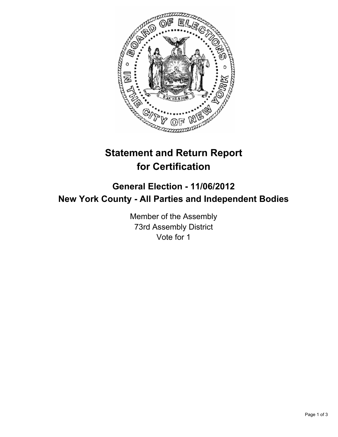

# **Statement and Return Report for Certification**

## **General Election - 11/06/2012 New York County - All Parties and Independent Bodies**

Member of the Assembly 73rd Assembly District Vote for 1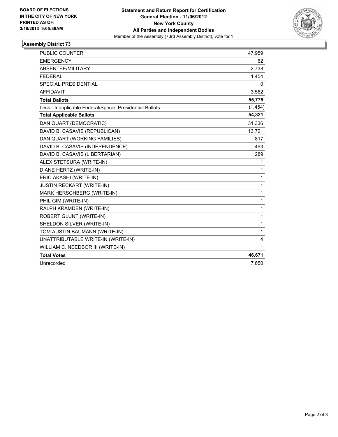

### **Assembly District 73**

| <b>PUBLIC COUNTER</b>                                    | 47,959   |
|----------------------------------------------------------|----------|
| <b>EMERGENCY</b>                                         | 62       |
| ABSENTEE/MILITARY                                        | 2,738    |
| <b>FEDERAL</b>                                           | 1,454    |
| <b>SPECIAL PRESIDENTIAL</b>                              | 0        |
| <b>AFFIDAVIT</b>                                         | 3,562    |
| <b>Total Ballots</b>                                     | 55,775   |
| Less - Inapplicable Federal/Special Presidential Ballots | (1, 454) |
| <b>Total Applicable Ballots</b>                          | 54,321   |
| DAN QUART (DEMOCRATIC)                                   | 31,336   |
| DAVID B. CASAVIS (REPUBLICAN)                            | 13,721   |
| DAN QUART (WORKING FAMILIES)                             | 817      |
| DAVID B. CASAVIS (INDEPENDENCE)                          | 493      |
| DAVID B. CASAVIS (LIBERTARIAN)                           | 289      |
| ALEX STETSURA (WRITE-IN)                                 | 1        |
| DIANE HERTZ (WRITE-IN)                                   | 1        |
| ERIC AKASHI (WRITE-IN)                                   | 1        |
| <b>JUSTIN RECKART (WRITE-IN)</b>                         | 1        |
| MARK HERSCHBERG (WRITE-IN)                               | 1        |
| PHIL GIM (WRITE-IN)                                      | 1        |
| RALPH KRAMDEN (WRITE-IN)                                 | 1        |
| ROBERT GLUNT (WRITE-IN)                                  | 1        |
| SHELDON SILVER (WRITE-IN)                                | 1        |
| TOM AUSTIN BAUMANN (WRITE-IN)                            | 1        |
| UNATTRIBUTABLE WRITE-IN (WRITE-IN)                       | 4        |
| WILLIAM C. NEEDBOR III (WRITE-IN)                        | 1        |
| <b>Total Votes</b>                                       | 46,671   |
| Unrecorded                                               | 7,650    |